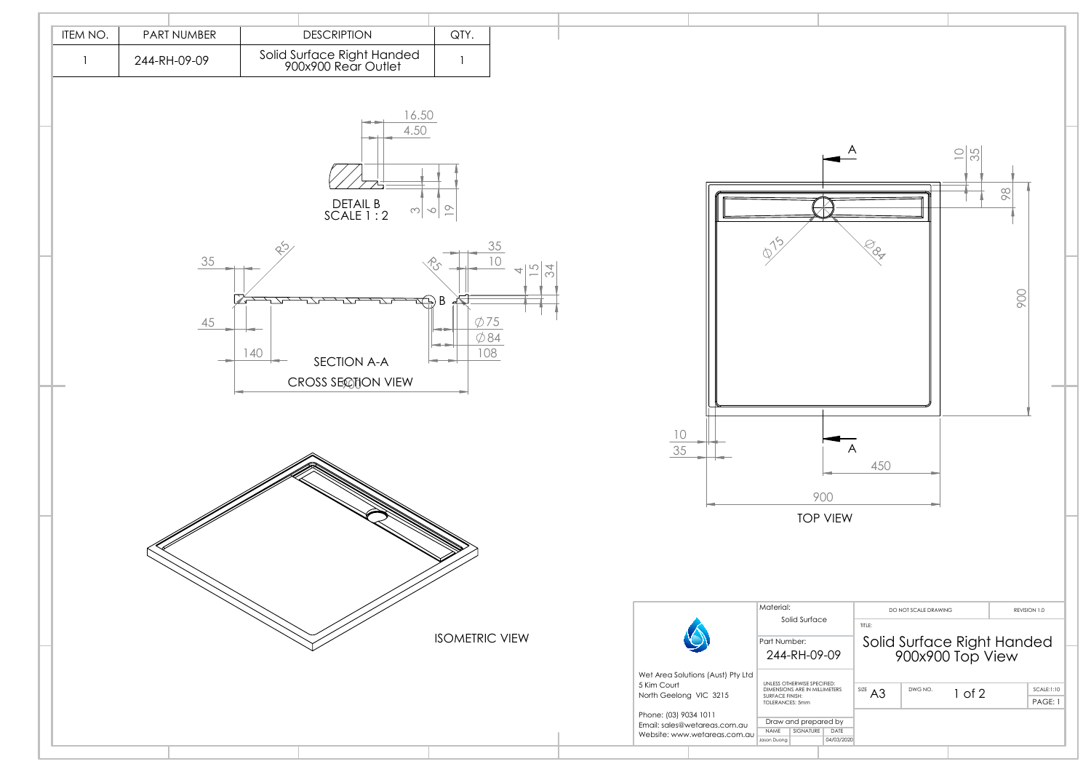

| A                            |           |                                                                        | $\frac{10}{35}$ | 86  |                       |  |
|------------------------------|-----------|------------------------------------------------------------------------|-----------------|-----|-----------------------|--|
|                              | Lox       |                                                                        |                 | 900 |                       |  |
| A                            | 450       |                                                                        |                 |     |                       |  |
| <b>VIEW</b>                  |           |                                                                        |                 |     |                       |  |
| е<br>$-09$                   | TITLE:    | DO NOT SCALE DRAWING<br>Solid Surface Right Handed<br>900x900 Top View |                 |     | REVISION 1.0          |  |
| IFIED:<br><b>IMETERS</b>     | SIZE $A3$ | DWG NO.                                                                | $1$ of $2$      |     | SCALE:1:10<br>PAGE: 1 |  |
| red by<br>DATE<br>04/03/2020 |           |                                                                        |                 |     |                       |  |